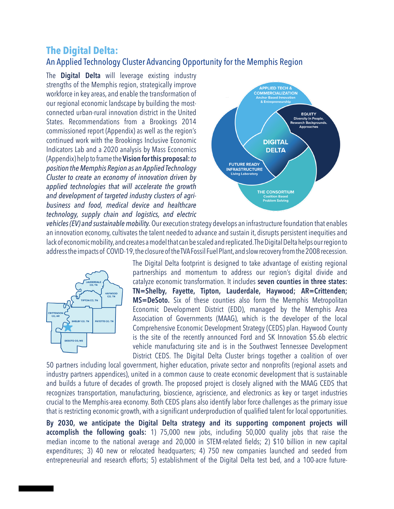## **The Digital Delta:**  An Applied Technology Cluster Advancing Opportunity for the Memphis Region

The **Digital Delta** will leverage existing industry strengths of the Memphis region, strategically improve workforce in key areas, and enable the transformation of our regional economic landscape by building the mostconnected urban-rural innovation district in the United States. Recommendations from a Brookings 2014 commissioned report (Appendix) as well as the region's continued work with the Brookings Inclusive Economic Indicators Lab and a 2020 analysis by Mass Economics (Appendix) help to frame the **Vision for this proposal:***to position the Memphis Region as an Applied Technology Cluster to create an economy of innovation driven by applied technologies that will accelerate the growth and development of targeted industry clusters of agribusiness and food, medical device and healthcare technology, supply chain and logistics, and electric* 



*vehicles (EV) and sustainable mobility.* Our execution strategy develops an infrastructure foundation that enables an innovation economy, cultivates the talent needed to advance and sustain it, disrupts persistent inequities and lack of economic mobility, and creates a model that can be scaled and replicated. The Digital Delta helps our region to address the impacts of COVID-19, the closure of the TVA Fossil Fuel Plant, and slow recovery from the 2008 recession.



The Digital Delta footprint is designed to take advantage of existing regional partnerships and momentum to address our region's digital divide and catalyze economic transformation. It includes **seven counties in three states: TN=Shelby, Fayette, Tipton, Lauderdale, Haywood; AR=Crittenden; MS=DeSoto.** Six of these counties also form the Memphis Metropolitan Economic Development District (EDD), managed by the Memphis Area Association of Governments (MAAG), which is the developer of the local Comprehensive Economic Development Strategy (CEDS) plan. Haywood County is the site of the recently announced Ford and SK Innovation \$5.6b electric vehicle manufacturing site and is in the Southwest Tennessee Development District CEDS. The Digital Delta Cluster brings together a coalition of over

50 partners including local government, higher education, private sector and nonprofits (regional assets and industry partners appendices), united in a common cause to create economic development that is sustainable and builds a future of decades of growth. The proposed project is closely aligned with the MAAG CEDS that recognizes transportation, manufacturing, bioscience, agriscience, and electronics as key or target industries crucial to the Memphis-area economy. Both CEDS plans also identify labor force challenges as the primary issue that is restricting economic growth, with a significant underproduction of qualified talent for local opportunities.

**By 2030, we anticipate the Digital Delta strategy and its supporting component projects will accomplish the following goals:** 1) 75,000 new jobs, including 50,000 quality jobs that raise the median income to the national average and 20,000 in STEM-related fields; 2) \$10 billion in new capital expenditures; 3) 40 new or relocated headquarters; 4) 750 new companies launched and seeded from entrepreneurial and research efforts; 5) establishment of the Digital Delta test bed, and a 100-acre future-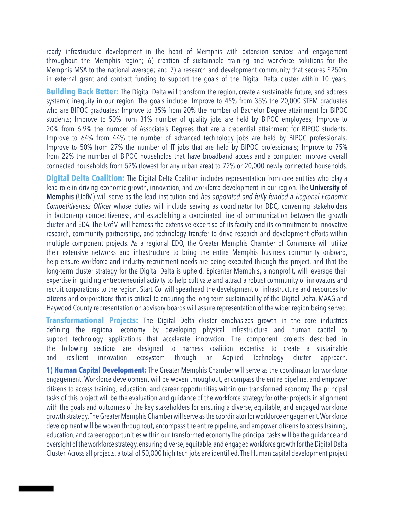ready infrastructure development in the heart of Memphis with extension services and engagement throughout the Memphis region; 6) creation of sustainable training and workforce solutions for the Memphis MSA to the national average; and 7) a research and development community that secures \$250m in external grant and contract funding to support the goals of the Digital Delta cluster within 10 years.

**Building Back Better:** The Digital Delta will transform the region, create a sustainable future, and address systemic inequity in our region. The goals include: Improve to 45% from 35% the 20,000 STEM graduates who are BIPOC graduates; Improve to 35% from 20% the number of Bachelor Degree attainment for BIPOC students; Improve to 50% from 31% number of quality jobs are held by BIPOC employees; Improve to 20% from 6.9% the number of Associate's Degrees that are a credential attainment for BIPOC students; Improve to 64% from 44% the number of advanced technology jobs are held by BIPOC professionals; Improve to 50% from 27% the number of IT jobs that are held by BIPOC professionals; Improve to 75% from 22% the number of BIPOC households that have broadband access and a computer; Improve overall connected households from 52% (lowest for any urban area) to 72% or 20,000 newly connected households.

**Digital Delta Coalition:** The Digital Delta Coalition includes representation from core entities who play a lead role in driving economic growth, innovation, and workforce development in our region. The **University of Memphis** (UofM) will serve as the lead institution and *has appointed and fully funded a Regional Economic Competitiveness Officer* whose duties will include serving as coordinator for DDC, convening stakeholders in bottom-up competitiveness, and establishing a coordinated line of communication between the growth cluster and EDA. The UofM will harness the extensive expertise of its faculty and its commitment to innovative research, community partnerships, and technology transfer to drive research and development efforts within multiple component projects. As a regional EDO, the Greater Memphis Chamber of Commerce will utilize their extensive networks and infrastructure to bring the entire Memphis business community onboard, help ensure workforce and industry recruitment needs are being executed through this project, and that the long-term cluster strategy for the Digital Delta is upheld. Epicenter Memphis, a nonprofit, will leverage their expertise in guiding entrepreneurial activity to help cultivate and attract a robust community of innovators and recruit corporations to the region. Start Co. will spearhead the development of infrastructure and resources for citizens and corporations that is critical to ensuring the long-term sustainability of the Digital Delta. MAAG and Haywood County representation on advisory boards will assure representation of the wider region being served.

**Transformational Projects:** The Digital Delta cluster emphasizes growth in the core industries defining the regional economy by developing physical infrastructure and human capital to support technology applications that accelerate innovation. The component projects described in the following sections are designed to harness coalition expertise to create a sustainable and resilient innovation ecosystem through an Applied Technology cluster approach.

**1) Human Capital Development:** The Greater Memphis Chamber will serve as the coordinator for workforce engagement. Workforce development will be woven throughout, encompass the entire pipeline, and empower citizens to access training, education, and career opportunities within our transformed economy. The principal tasks of this project will be the evaluation and guidance of the workforce strategy for other projects in alignment with the goals and outcomes of the key stakeholders for ensuring a diverse, equitable, and engaged workforce growth strategy. The Greater Memphis Chamber will serve as the coordinator for workforce engagement. Workforce development will be woven throughout, encompass the entire pipeline, and empower citizens to access training, education, and career opportunities within our transformed economy.The principal tasks will be the guidance and oversight of the workforce strategy, ensuring diverse, equitable, and engaged workforce growth for the Digital Delta Cluster. Across all projects, a total of 50,000 high tech jobs are identified. The Human capital development project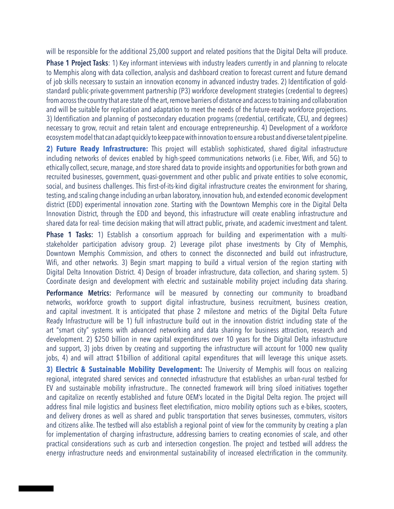will be responsible for the additional 25,000 support and related positions that the Digital Delta will produce.

**Phase 1 Project Tasks**: 1) Key informant interviews with industry leaders currently in and planning to relocate to Memphis along with data collection, analysis and dashboard creation to forecast current and future demand of job skills necessary to sustain an innovation economy in advanced industry trades. 2) Identification of goldstandard public-private-government partnership (P3) workforce development strategies (credential to degrees) from across the country that are state of the art, remove barriers of distance and access to training and collaboration and will be suitable for replication and adaptation to meet the needs of the future-ready workforce projections. 3) Identification and planning of postsecondary education programs (credential, certificate, CEU, and degrees) necessary to grow, recruit and retain talent and encourage entrepreneurship. 4) Development of a workforce ecosystem model that can adapt quickly to keep pace with innovation to ensure a robust and diverse talent pipeline.

**2) Future Ready Infrastructure:** This project will establish sophisticated, shared digital infrastructure including networks of devices enabled by high-speed communications networks (i.e. Fiber, Wifi, and 5G) to ethically collect, secure, manage, and store shared data to provide insights and opportunities for both grown and recruited businesses, government, quasi-government and other public and private entities to solve economic, social, and business challenges. This first-of-its-kind digital infrastructure creates the environment for sharing, testing, and scaling change including an urban laboratory, innovation hub, and extended economic development district (EDD) experimental innovation zone. Starting with the Downtown Memphis core in the Digital Delta Innovation District, through the EDD and beyond, this infrastructure will create enabling infrastructure and shared data for real- time decision making that will attract public, private, and academic investment and talent.

**Phase 1 Tasks:** 1) Establish a consortium approach for building and experimentation with a multistakeholder participation advisory group. 2) Leverage pilot phase investments by City of Memphis, Downtown Memphis Commission, and others to connect the disconnected and build out infrastructure, Wifi, and other networks. 3) Begin smart mapping to build a virtual version of the region starting with Digital Delta Innovation District. 4) Design of broader infrastructure, data collection, and sharing system. 5) Coordinate design and development with electric and sustainable mobility project including data sharing.

**Performance Metrics:** Performance will be measured by connecting our community to broadband networks, workforce growth to support digital infrastructure, business recruitment, business creation, and capital investment. It is anticipated that phase 2 milestone and metrics of the Digital Delta Future Ready Infrastructure will be 1) full infrastructure build out in the innovation district including state of the art "smart city" systems with advanced networking and data sharing for business attraction, research and development. 2) \$250 billion in new capital expenditures over 10 years for the Digital Delta infrastructure and support, 3) jobs driven by creating and supporting the infrastructure will account for 1000 new quality jobs, 4) and will attract \$1billion of additional capital expenditures that will leverage this unique assets.

**3) Electric & Sustainable Mobility Development:** The University of Memphis will focus on realizing regional, integrated shared services and connected infrastructure that establishes an urban-rural testbed for EV and sustainable mobility infrastructure.. The connected framework will bring siloed initiatives together and capitalize on recently established and future OEM's located in the Digital Delta region. The project will address final mile logistics and business fleet electrification, micro mobility options such as e-bikes, scooters, and delivery drones as well as shared and public transportation that serves businesses, commuters, visitors and citizens alike. The testbed will also establish a regional point of view for the community by creating a plan for implementation of charging infrastructure, addressing barriers to creating economies of scale, and other practical considerations such as curb and intersection congestion. The project and testbed will address the energy infrastructure needs and environmental sustainability of increased electrification in the community.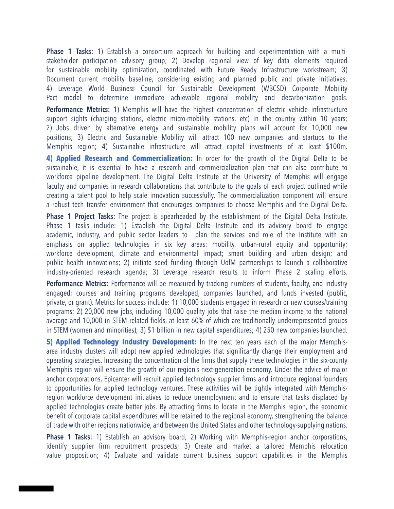**Phase 1 Tasks:** 1) Establish a consortium approach for building and experimentation with a multistakeholder participation advisory group; 2) Develop regional view of key data elements required for sustainable mobility optimization, coordinated with Future Ready Infrastructure workstream; 3) Document current mobility baseline, considering existing and planned public and private initiatives; 4) Leverage World Business Council for Sustainable Development (WBCSD) Corporate Mobility Pact model to determine immediate achievable regional mobility and decarbonization goals.

**Performance Metrics:** 1) Memphis will have the highest concentration of electric vehicle infrastructure support sights (charging stations, electric micro-mobility stations, etc) in the country within 10 years; 2) Jobs driven by alternative energy and sustainable mobility plans will account for 10,000 new positions; 3) Electric and Sustainable Mobility will attract 100 new companies and startups to the Memphis region; 4) Sustainable infrastructure will attract capital investments of at least \$100m.

**4) Applied Research and Commercialization:** In order for the growth of the Digital Delta to be sustainable, it is essential to have a research and commercialization plan that can also contribute to workforce pipeline development. The Digital Delta Institute at the University of Memphis will engage faculty and companies in research collaborations that contribute to the goals of each project outlined while creating a talent pool to help scale innovation successfully. The commercialization component will ensure a robust tech transfer environment that encourages companies to choose Memphis and the Digital Delta.

**Phase 1 Project Tasks:** The project is spearheaded by the establishment of the Digital Delta Institute. Phase 1 tasks include: 1) Establish the Digital Delta Institute and its advisory board to engage academic, industry, and public sector leaders to plan the services and role of the Institute with an emphasis on applied technologies in six key areas: mobility, urban-rural equity and opportunity; workforce development, climate and environmental impact; smart building and urban design; and public health innovations; 2) initiate seed funding through UofM partnerships to launch a collaborative industry-oriented research agenda; 3) Leverage research results to inform Phase 2 scaling efforts.

**Performance Metrics:** Performance will be measured by tracking numbers of students, faculty, and industry engaged; courses and training programs developed, companies launched, and funds invested (public, private, or grant). Metrics for success include: 1) 10,000 students engaged in research or new courses/training programs; 2) 20,000 new jobs, including 10,000 quality jobs that raise the median income to the national average and 10,000 in STEM related fields, at least 60% of which are traditionally underrepresented groups in STEM (women and minorities); 3) \$1 billion in new capital expenditures; 4) 250 new companies launched.

**5) Applied Technology Industry Development:** In the next ten years each of the major Memphisarea industry clusters will adopt new applied technologies that significantly change their employment and operating strategies. Increasing the concentration of the firms that supply these technologies in the six-county Memphis region will ensure the growth of our region's next-generation economy. Under the advice of major anchor corporations, Epicenter will recruit applied technology supplier firms and introduce regional founders to opportunities for applied technology ventures. These activities will be tightly integrated with Memphisregion workforce development initiatives to reduce unemployment and to ensure that tasks displaced by applied technologies create better jobs. By attracting firms to locate in the Memphis region, the economic benefit of corporate capital expenditures will be retained to the regional economy, strengthening the balance of trade with other regions nationwide, and between the United States and other technology-supplying nations.

**Phase 1 Tasks:** 1) Establish an advisory board; 2) Working with Memphis-region anchor corporations, identify supplier firm recruitment prospects; 3) Create and market a tailored Memphis relocation value proposition; 4) Evaluate and validate current business support capabilities in the Memphis